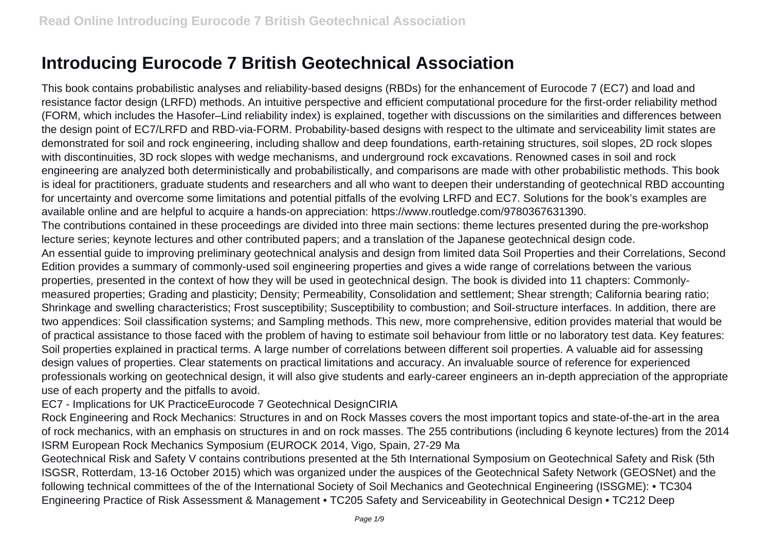## **Introducing Eurocode 7 British Geotechnical Association**

This book contains probabilistic analyses and reliability-based designs (RBDs) for the enhancement of Eurocode 7 (EC7) and load and resistance factor design (LRFD) methods. An intuitive perspective and efficient computational procedure for the first-order reliability method (FORM, which includes the Hasofer–Lind reliability index) is explained, together with discussions on the similarities and differences between the design point of EC7/LRFD and RBD-via-FORM. Probability-based designs with respect to the ultimate and serviceability limit states are demonstrated for soil and rock engineering, including shallow and deep foundations, earth-retaining structures, soil slopes, 2D rock slopes with discontinuities, 3D rock slopes with wedge mechanisms, and underground rock excavations. Renowned cases in soil and rock engineering are analyzed both deterministically and probabilistically, and comparisons are made with other probabilistic methods. This book is ideal for practitioners, graduate students and researchers and all who want to deepen their understanding of geotechnical RBD accounting for uncertainty and overcome some limitations and potential pitfalls of the evolving LRFD and EC7. Solutions for the book's examples are available online and are helpful to acquire a hands-on appreciation: https://www.routledge.com/9780367631390. The contributions contained in these proceedings are divided into three main sections: theme lectures presented during the pre-workshop lecture series; keynote lectures and other contributed papers; and a translation of the Japanese geotechnical design code. An essential guide to improving preliminary geotechnical analysis and design from limited data Soil Properties and their Correlations, Second Edition provides a summary of commonly-used soil engineering properties and gives a wide range of correlations between the various properties, presented in the context of how they will be used in geotechnical design. The book is divided into 11 chapters: Commonlymeasured properties; Grading and plasticity; Density; Permeability, Consolidation and settlement; Shear strength; California bearing ratio; Shrinkage and swelling characteristics; Frost susceptibility; Susceptibility to combustion; and Soil-structure interfaces. In addition, there are two appendices: Soil classification systems; and Sampling methods. This new, more comprehensive, edition provides material that would be of practical assistance to those faced with the problem of having to estimate soil behaviour from little or no laboratory test data. Key features: Soil properties explained in practical terms. A large number of correlations between different soil properties. A valuable aid for assessing design values of properties. Clear statements on practical limitations and accuracy. An invaluable source of reference for experienced professionals working on geotechnical design, it will also give students and early-career engineers an in-depth appreciation of the appropriate use of each property and the pitfalls to avoid.

EC7 - Implications for UK PracticeEurocode 7 Geotechnical DesignCIRIA

Rock Engineering and Rock Mechanics: Structures in and on Rock Masses covers the most important topics and state-of-the-art in the area of rock mechanics, with an emphasis on structures in and on rock masses. The 255 contributions (including 6 keynote lectures) from the 2014 ISRM European Rock Mechanics Symposium (EUROCK 2014, Vigo, Spain, 27-29 Ma

Geotechnical Risk and Safety V contains contributions presented at the 5th International Symposium on Geotechnical Safety and Risk (5th ISGSR, Rotterdam, 13-16 October 2015) which was organized under the auspices of the Geotechnical Safety Network (GEOSNet) and the following technical committees of the of the International Society of Soil Mechanics and Geotechnical Engineering (ISSGME): • TC304 Engineering Practice of Risk Assessment & Management • TC205 Safety and Serviceability in Geotechnical Design • TC212 Deep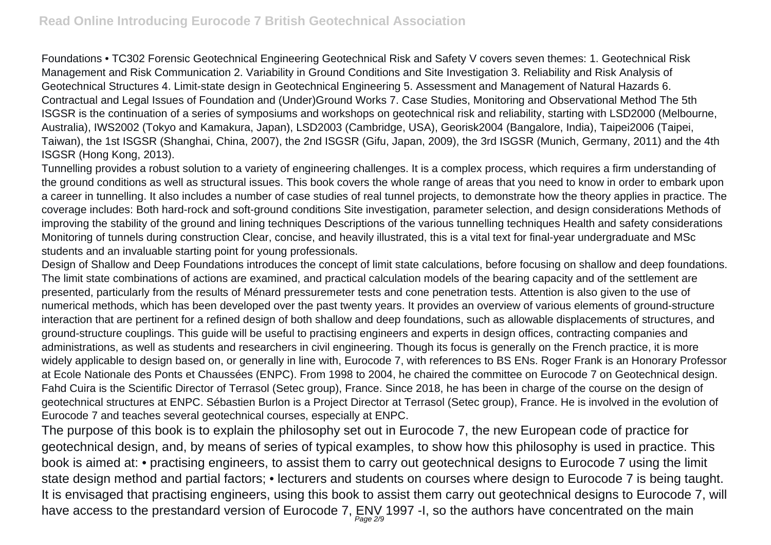Foundations • TC302 Forensic Geotechnical Engineering Geotechnical Risk and Safety V covers seven themes: 1. Geotechnical Risk Management and Risk Communication 2. Variability in Ground Conditions and Site Investigation 3. Reliability and Risk Analysis of Geotechnical Structures 4. Limit-state design in Geotechnical Engineering 5. Assessment and Management of Natural Hazards 6. Contractual and Legal Issues of Foundation and (Under)Ground Works 7. Case Studies, Monitoring and Observational Method The 5th ISGSR is the continuation of a series of symposiums and workshops on geotechnical risk and reliability, starting with LSD2000 (Melbourne, Australia), IWS2002 (Tokyo and Kamakura, Japan), LSD2003 (Cambridge, USA), Georisk2004 (Bangalore, India), Taipei2006 (Taipei, Taiwan), the 1st ISGSR (Shanghai, China, 2007), the 2nd ISGSR (Gifu, Japan, 2009), the 3rd ISGSR (Munich, Germany, 2011) and the 4th ISGSR (Hong Kong, 2013).

Tunnelling provides a robust solution to a variety of engineering challenges. It is a complex process, which requires a firm understanding of the ground conditions as well as structural issues. This book covers the whole range of areas that you need to know in order to embark upon a career in tunnelling. It also includes a number of case studies of real tunnel projects, to demonstrate how the theory applies in practice. The coverage includes: Both hard-rock and soft-ground conditions Site investigation, parameter selection, and design considerations Methods of improving the stability of the ground and lining techniques Descriptions of the various tunnelling techniques Health and safety considerations Monitoring of tunnels during construction Clear, concise, and heavily illustrated, this is a vital text for final-year undergraduate and MSc students and an invaluable starting point for young professionals.

Design of Shallow and Deep Foundations introduces the concept of limit state calculations, before focusing on shallow and deep foundations. The limit state combinations of actions are examined, and practical calculation models of the bearing capacity and of the settlement are presented, particularly from the results of Ménard pressuremeter tests and cone penetration tests. Attention is also given to the use of numerical methods, which has been developed over the past twenty years. It provides an overview of various elements of ground-structure interaction that are pertinent for a refined design of both shallow and deep foundations, such as allowable displacements of structures, and ground-structure couplings. This guide will be useful to practising engineers and experts in design offices, contracting companies and administrations, as well as students and researchers in civil engineering. Though its focus is generally on the French practice, it is more widely applicable to design based on, or generally in line with, Eurocode 7, with references to BS ENs. Roger Frank is an Honorary Professor at Ecole Nationale des Ponts et Chaussées (ENPC). From 1998 to 2004, he chaired the committee on Eurocode 7 on Geotechnical design. Fahd Cuira is the Scientific Director of Terrasol (Setec group), France. Since 2018, he has been in charge of the course on the design of geotechnical structures at ENPC. Sébastien Burlon is a Project Director at Terrasol (Setec group), France. He is involved in the evolution of Eurocode 7 and teaches several geotechnical courses, especially at ENPC.

The purpose of this book is to explain the philosophy set out in Eurocode 7, the new European code of practice for geotechnical design, and, by means of series of typical examples, to show how this philosophy is used in practice. This book is aimed at: • practising engineers, to assist them to carry out geotechnical designs to Eurocode 7 using the limit state design method and partial factors; • lecturers and students on courses where design to Eurocode 7 is being taught. It is envisaged that practising engineers, using this book to assist them carry out geotechnical designs to Eurocode 7, will have access to the prestandard version of Eurocode 7, ENV 1997 -I, so the authors have concentrated on the main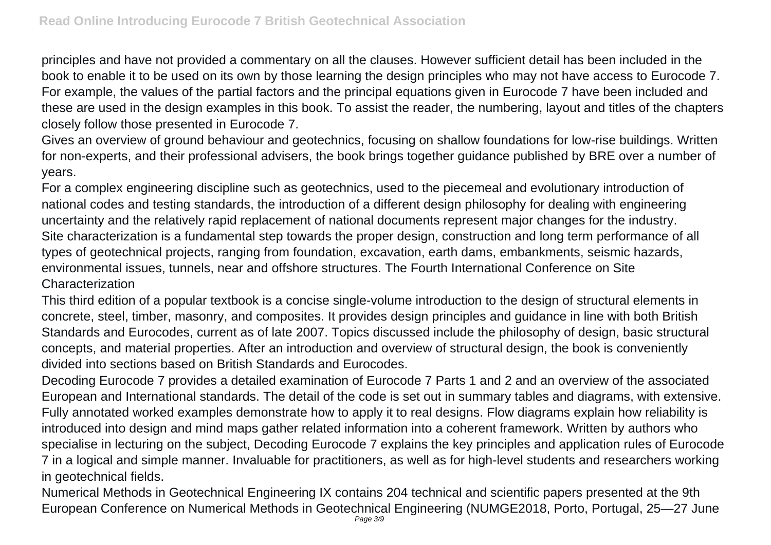principles and have not provided a commentary on all the clauses. However sufficient detail has been included in the book to enable it to be used on its own by those learning the design principles who may not have access to Eurocode 7. For example, the values of the partial factors and the principal equations given in Eurocode 7 have been included and these are used in the design examples in this book. To assist the reader, the numbering, layout and titles of the chapters closely follow those presented in Eurocode 7.

Gives an overview of ground behaviour and geotechnics, focusing on shallow foundations for low-rise buildings. Written for non-experts, and their professional advisers, the book brings together guidance published by BRE over a number of years.

For a complex engineering discipline such as geotechnics, used to the piecemeal and evolutionary introduction of national codes and testing standards, the introduction of a different design philosophy for dealing with engineering uncertainty and the relatively rapid replacement of national documents represent major changes for the industry. Site characterization is a fundamental step towards the proper design, construction and long term performance of all types of geotechnical projects, ranging from foundation, excavation, earth dams, embankments, seismic hazards, environmental issues, tunnels, near and offshore structures. The Fourth International Conference on Site Characterization

This third edition of a popular textbook is a concise single-volume introduction to the design of structural elements in concrete, steel, timber, masonry, and composites. It provides design principles and guidance in line with both British Standards and Eurocodes, current as of late 2007. Topics discussed include the philosophy of design, basic structural concepts, and material properties. After an introduction and overview of structural design, the book is conveniently divided into sections based on British Standards and Eurocodes.

Decoding Eurocode 7 provides a detailed examination of Eurocode 7 Parts 1 and 2 and an overview of the associated European and International standards. The detail of the code is set out in summary tables and diagrams, with extensive. Fully annotated worked examples demonstrate how to apply it to real designs. Flow diagrams explain how reliability is introduced into design and mind maps gather related information into a coherent framework. Written by authors who specialise in lecturing on the subject, Decoding Eurocode 7 explains the key principles and application rules of Eurocode 7 in a logical and simple manner. Invaluable for practitioners, as well as for high-level students and researchers working in geotechnical fields.

Numerical Methods in Geotechnical Engineering IX contains 204 technical and scientific papers presented at the 9th European Conference on Numerical Methods in Geotechnical Engineering (NUMGE2018, Porto, Portugal, 25—27 June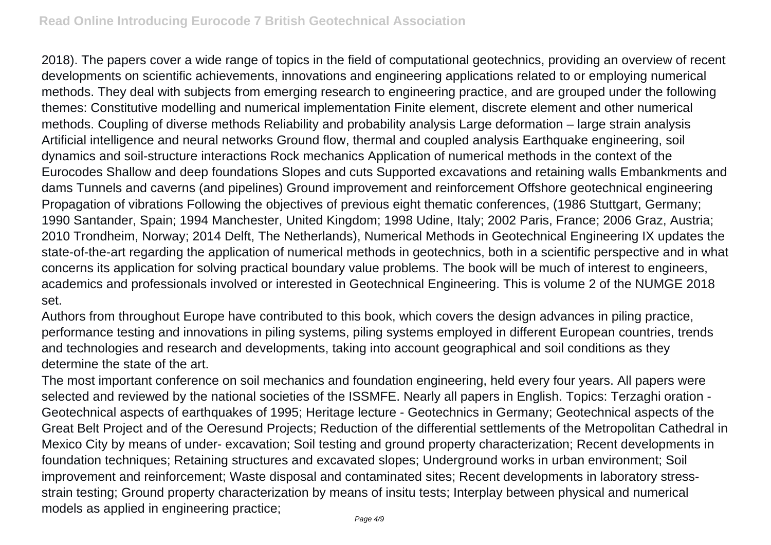2018). The papers cover a wide range of topics in the field of computational geotechnics, providing an overview of recent developments on scientific achievements, innovations and engineering applications related to or employing numerical methods. They deal with subjects from emerging research to engineering practice, and are grouped under the following themes: Constitutive modelling and numerical implementation Finite element, discrete element and other numerical methods. Coupling of diverse methods Reliability and probability analysis Large deformation – large strain analysis Artificial intelligence and neural networks Ground flow, thermal and coupled analysis Earthquake engineering, soil dynamics and soil-structure interactions Rock mechanics Application of numerical methods in the context of the Eurocodes Shallow and deep foundations Slopes and cuts Supported excavations and retaining walls Embankments and dams Tunnels and caverns (and pipelines) Ground improvement and reinforcement Offshore geotechnical engineering Propagation of vibrations Following the objectives of previous eight thematic conferences, (1986 Stuttgart, Germany; 1990 Santander, Spain; 1994 Manchester, United Kingdom; 1998 Udine, Italy; 2002 Paris, France; 2006 Graz, Austria; 2010 Trondheim, Norway; 2014 Delft, The Netherlands), Numerical Methods in Geotechnical Engineering IX updates the state-of-the-art regarding the application of numerical methods in geotechnics, both in a scientific perspective and in what concerns its application for solving practical boundary value problems. The book will be much of interest to engineers, academics and professionals involved or interested in Geotechnical Engineering. This is volume 2 of the NUMGE 2018 set.

Authors from throughout Europe have contributed to this book, which covers the design advances in piling practice, performance testing and innovations in piling systems, piling systems employed in different European countries, trends and technologies and research and developments, taking into account geographical and soil conditions as they determine the state of the art.

The most important conference on soil mechanics and foundation engineering, held every four years. All papers were selected and reviewed by the national societies of the ISSMFE. Nearly all papers in English. Topics: Terzaghi oration - Geotechnical aspects of earthquakes of 1995; Heritage lecture - Geotechnics in Germany; Geotechnical aspects of the Great Belt Project and of the Oeresund Projects; Reduction of the differential settlements of the Metropolitan Cathedral in Mexico City by means of under- excavation; Soil testing and ground property characterization; Recent developments in foundation techniques; Retaining structures and excavated slopes; Underground works in urban environment; Soil improvement and reinforcement; Waste disposal and contaminated sites; Recent developments in laboratory stressstrain testing; Ground property characterization by means of insitu tests; Interplay between physical and numerical models as applied in engineering practice;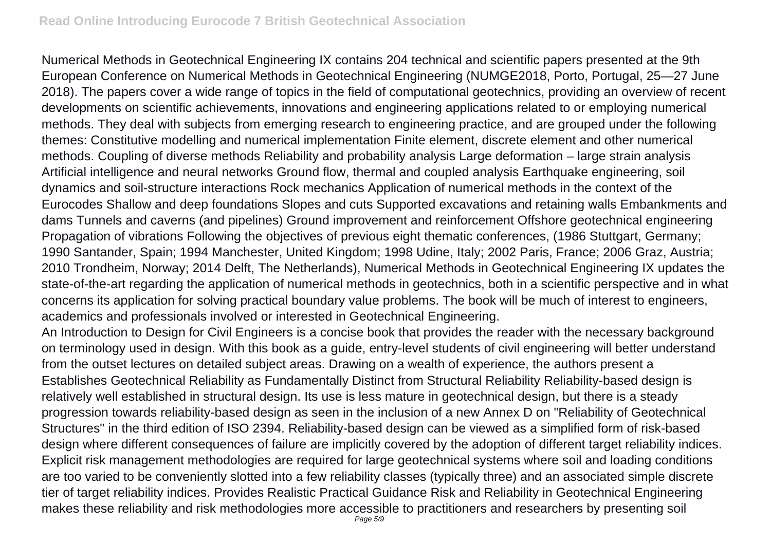Numerical Methods in Geotechnical Engineering IX contains 204 technical and scientific papers presented at the 9th European Conference on Numerical Methods in Geotechnical Engineering (NUMGE2018, Porto, Portugal, 25—27 June 2018). The papers cover a wide range of topics in the field of computational geotechnics, providing an overview of recent developments on scientific achievements, innovations and engineering applications related to or employing numerical methods. They deal with subjects from emerging research to engineering practice, and are grouped under the following themes: Constitutive modelling and numerical implementation Finite element, discrete element and other numerical methods. Coupling of diverse methods Reliability and probability analysis Large deformation – large strain analysis Artificial intelligence and neural networks Ground flow, thermal and coupled analysis Earthquake engineering, soil dynamics and soil-structure interactions Rock mechanics Application of numerical methods in the context of the Eurocodes Shallow and deep foundations Slopes and cuts Supported excavations and retaining walls Embankments and dams Tunnels and caverns (and pipelines) Ground improvement and reinforcement Offshore geotechnical engineering Propagation of vibrations Following the objectives of previous eight thematic conferences, (1986 Stuttgart, Germany; 1990 Santander, Spain; 1994 Manchester, United Kingdom; 1998 Udine, Italy; 2002 Paris, France; 2006 Graz, Austria; 2010 Trondheim, Norway; 2014 Delft, The Netherlands), Numerical Methods in Geotechnical Engineering IX updates the state-of-the-art regarding the application of numerical methods in geotechnics, both in a scientific perspective and in what concerns its application for solving practical boundary value problems. The book will be much of interest to engineers, academics and professionals involved or interested in Geotechnical Engineering.

An Introduction to Design for Civil Engineers is a concise book that provides the reader with the necessary background on terminology used in design. With this book as a guide, entry-level students of civil engineering will better understand from the outset lectures on detailed subject areas. Drawing on a wealth of experience, the authors present a Establishes Geotechnical Reliability as Fundamentally Distinct from Structural Reliability Reliability-based design is relatively well established in structural design. Its use is less mature in geotechnical design, but there is a steady progression towards reliability-based design as seen in the inclusion of a new Annex D on "Reliability of Geotechnical Structures" in the third edition of ISO 2394. Reliability-based design can be viewed as a simplified form of risk-based design where different consequences of failure are implicitly covered by the adoption of different target reliability indices. Explicit risk management methodologies are required for large geotechnical systems where soil and loading conditions are too varied to be conveniently slotted into a few reliability classes (typically three) and an associated simple discrete tier of target reliability indices. Provides Realistic Practical Guidance Risk and Reliability in Geotechnical Engineering makes these reliability and risk methodologies more accessible to practitioners and researchers by presenting soil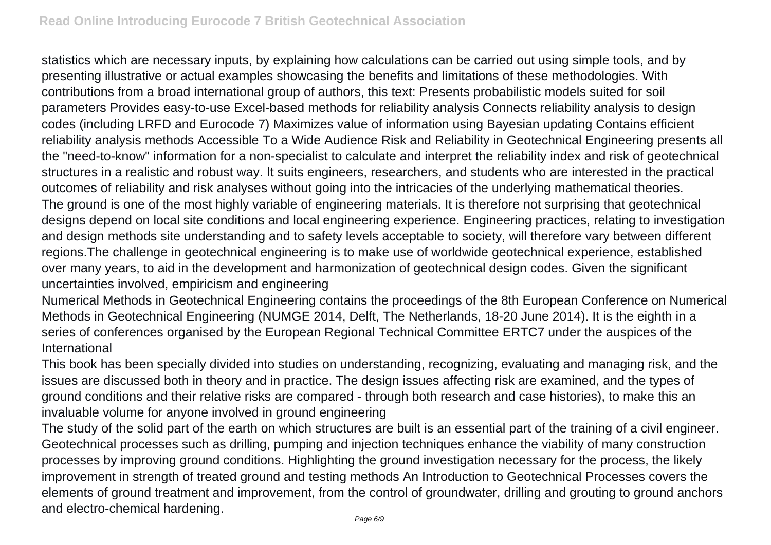statistics which are necessary inputs, by explaining how calculations can be carried out using simple tools, and by presenting illustrative or actual examples showcasing the benefits and limitations of these methodologies. With contributions from a broad international group of authors, this text: Presents probabilistic models suited for soil parameters Provides easy-to-use Excel-based methods for reliability analysis Connects reliability analysis to design codes (including LRFD and Eurocode 7) Maximizes value of information using Bayesian updating Contains efficient reliability analysis methods Accessible To a Wide Audience Risk and Reliability in Geotechnical Engineering presents all the "need-to-know" information for a non-specialist to calculate and interpret the reliability index and risk of geotechnical structures in a realistic and robust way. It suits engineers, researchers, and students who are interested in the practical outcomes of reliability and risk analyses without going into the intricacies of the underlying mathematical theories. The ground is one of the most highly variable of engineering materials. It is therefore not surprising that geotechnical designs depend on local site conditions and local engineering experience. Engineering practices, relating to investigation and design methods site understanding and to safety levels acceptable to society, will therefore vary between different regions.The challenge in geotechnical engineering is to make use of worldwide geotechnical experience, established over many years, to aid in the development and harmonization of geotechnical design codes. Given the significant uncertainties involved, empiricism and engineering

Numerical Methods in Geotechnical Engineering contains the proceedings of the 8th European Conference on Numerical Methods in Geotechnical Engineering (NUMGE 2014, Delft, The Netherlands, 18-20 June 2014). It is the eighth in a series of conferences organised by the European Regional Technical Committee ERTC7 under the auspices of the International

This book has been specially divided into studies on understanding, recognizing, evaluating and managing risk, and the issues are discussed both in theory and in practice. The design issues affecting risk are examined, and the types of ground conditions and their relative risks are compared - through both research and case histories), to make this an invaluable volume for anyone involved in ground engineering

The study of the solid part of the earth on which structures are built is an essential part of the training of a civil engineer. Geotechnical processes such as drilling, pumping and injection techniques enhance the viability of many construction processes by improving ground conditions. Highlighting the ground investigation necessary for the process, the likely improvement in strength of treated ground and testing methods An Introduction to Geotechnical Processes covers the elements of ground treatment and improvement, from the control of groundwater, drilling and grouting to ground anchors and electro-chemical hardening.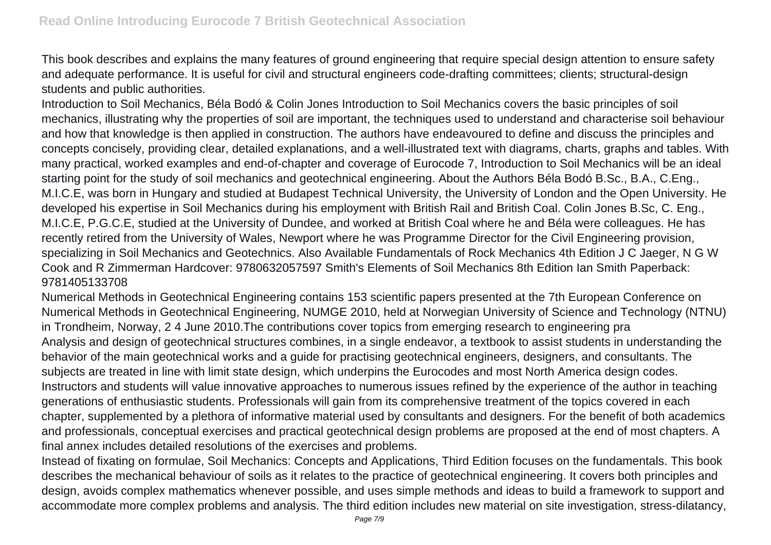This book describes and explains the many features of ground engineering that require special design attention to ensure safety and adequate performance. It is useful for civil and structural engineers code-drafting committees; clients; structural-design students and public authorities.

Introduction to Soil Mechanics, Béla Bodó & Colin Jones Introduction to Soil Mechanics covers the basic principles of soil mechanics, illustrating why the properties of soil are important, the techniques used to understand and characterise soil behaviour and how that knowledge is then applied in construction. The authors have endeavoured to define and discuss the principles and concepts concisely, providing clear, detailed explanations, and a well-illustrated text with diagrams, charts, graphs and tables. With many practical, worked examples and end-of-chapter and coverage of Eurocode 7, Introduction to Soil Mechanics will be an ideal starting point for the study of soil mechanics and geotechnical engineering. About the Authors Béla Bodó B.Sc., B.A., C.Eng., M.I.C.E, was born in Hungary and studied at Budapest Technical University, the University of London and the Open University. He developed his expertise in Soil Mechanics during his employment with British Rail and British Coal. Colin Jones B.Sc, C. Eng., M.I.C.E, P.G.C.E, studied at the University of Dundee, and worked at British Coal where he and Béla were colleagues. He has recently retired from the University of Wales, Newport where he was Programme Director for the Civil Engineering provision, specializing in Soil Mechanics and Geotechnics. Also Available Fundamentals of Rock Mechanics 4th Edition J C Jaeger, N G W Cook and R Zimmerman Hardcover: 9780632057597 Smith's Elements of Soil Mechanics 8th Edition Ian Smith Paperback: 9781405133708

Numerical Methods in Geotechnical Engineering contains 153 scientific papers presented at the 7th European Conference on Numerical Methods in Geotechnical Engineering, NUMGE 2010, held at Norwegian University of Science and Technology (NTNU) in Trondheim, Norway, 2 4 June 2010.The contributions cover topics from emerging research to engineering pra Analysis and design of geotechnical structures combines, in a single endeavor, a textbook to assist students in understanding the behavior of the main geotechnical works and a guide for practising geotechnical engineers, designers, and consultants. The subjects are treated in line with limit state design, which underpins the Eurocodes and most North America design codes. Instructors and students will value innovative approaches to numerous issues refined by the experience of the author in teaching generations of enthusiastic students. Professionals will gain from its comprehensive treatment of the topics covered in each chapter, supplemented by a plethora of informative material used by consultants and designers. For the benefit of both academics and professionals, conceptual exercises and practical geotechnical design problems are proposed at the end of most chapters. A final annex includes detailed resolutions of the exercises and problems.

Instead of fixating on formulae, Soil Mechanics: Concepts and Applications, Third Edition focuses on the fundamentals. This book describes the mechanical behaviour of soils as it relates to the practice of geotechnical engineering. It covers both principles and design, avoids complex mathematics whenever possible, and uses simple methods and ideas to build a framework to support and accommodate more complex problems and analysis. The third edition includes new material on site investigation, stress-dilatancy,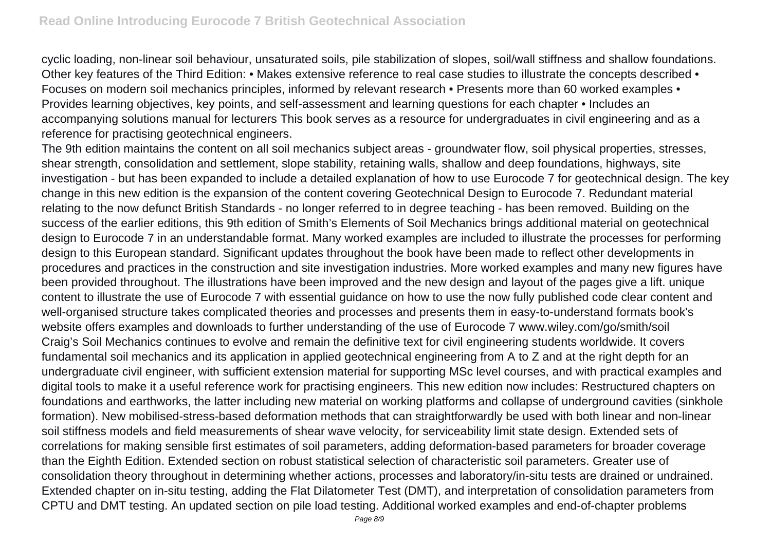cyclic loading, non-linear soil behaviour, unsaturated soils, pile stabilization of slopes, soil/wall stiffness and shallow foundations. Other key features of the Third Edition: • Makes extensive reference to real case studies to illustrate the concepts described • Focuses on modern soil mechanics principles, informed by relevant research • Presents more than 60 worked examples • Provides learning objectives, key points, and self-assessment and learning questions for each chapter • Includes an accompanying solutions manual for lecturers This book serves as a resource for undergraduates in civil engineering and as a reference for practising geotechnical engineers.

The 9th edition maintains the content on all soil mechanics subject areas - groundwater flow, soil physical properties, stresses, shear strength, consolidation and settlement, slope stability, retaining walls, shallow and deep foundations, highways, site investigation - but has been expanded to include a detailed explanation of how to use Eurocode 7 for geotechnical design. The key change in this new edition is the expansion of the content covering Geotechnical Design to Eurocode 7. Redundant material relating to the now defunct British Standards - no longer referred to in degree teaching - has been removed. Building on the success of the earlier editions, this 9th edition of Smith's Elements of Soil Mechanics brings additional material on geotechnical design to Eurocode 7 in an understandable format. Many worked examples are included to illustrate the processes for performing design to this European standard. Significant updates throughout the book have been made to reflect other developments in procedures and practices in the construction and site investigation industries. More worked examples and many new figures have been provided throughout. The illustrations have been improved and the new design and layout of the pages give a lift. unique content to illustrate the use of Eurocode 7 with essential guidance on how to use the now fully published code clear content and well-organised structure takes complicated theories and processes and presents them in easy-to-understand formats book's website offers examples and downloads to further understanding of the use of Eurocode 7 www.wiley.com/go/smith/soil Craig's Soil Mechanics continues to evolve and remain the definitive text for civil engineering students worldwide. It covers fundamental soil mechanics and its application in applied geotechnical engineering from A to Z and at the right depth for an undergraduate civil engineer, with sufficient extension material for supporting MSc level courses, and with practical examples and digital tools to make it a useful reference work for practising engineers. This new edition now includes: Restructured chapters on foundations and earthworks, the latter including new material on working platforms and collapse of underground cavities (sinkhole formation). New mobilised-stress-based deformation methods that can straightforwardly be used with both linear and non-linear soil stiffness models and field measurements of shear wave velocity, for serviceability limit state design. Extended sets of correlations for making sensible first estimates of soil parameters, adding deformation-based parameters for broader coverage than the Eighth Edition. Extended section on robust statistical selection of characteristic soil parameters. Greater use of consolidation theory throughout in determining whether actions, processes and laboratory/in-situ tests are drained or undrained. Extended chapter on in-situ testing, adding the Flat Dilatometer Test (DMT), and interpretation of consolidation parameters from CPTU and DMT testing. An updated section on pile load testing. Additional worked examples and end-of-chapter problems